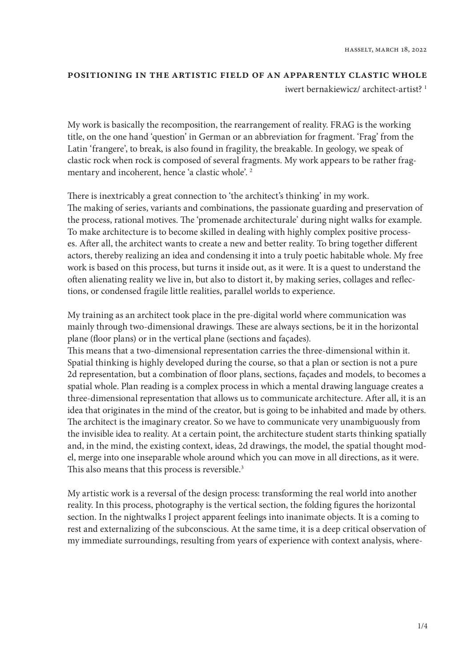## positioning in the artistic field of an apparently clastic whole iwert bernakiewicz/ architect-artist?<sup>1</sup>

My work is basically the recomposition, the rearrangement of reality. FRAG is the working title, on the one hand 'question' in German or an abbreviation for fragment. 'Frag' from the Latin 'frangere', to break, is also found in fragility, the breakable. In geology, we speak of clastic rock when rock is composed of several fragments. My work appears to be rather fragmentary and incoherent, hence 'a clastic whole'. 2

There is inextricably a great connection to 'the architect's thinking' in my work. The making of series, variants and combinations, the passionate guarding and preservation of the process, rational motives. The 'promenade architecturale' during night walks for example. To make architecture is to become skilled in dealing with highly complex positive processes. After all, the architect wants to create a new and better reality. To bring together different actors, thereby realizing an idea and condensing it into a truly poetic habitable whole. My free work is based on this process, but turns it inside out, as it were. It is a quest to understand the often alienating reality we live in, but also to distort it, by making series, collages and reflections, or condensed fragile little realities, parallel worlds to experience.

My training as an architect took place in the pre-digital world where communication was mainly through two-dimensional drawings. These are always sections, be it in the horizontal plane (floor plans) or in the vertical plane (sections and façades). This means that a two-dimensional representation carries the three-dimensional within it. Spatial thinking is highly developed during the course, so that a plan or section is not a pure 2d representation, but a combination of floor plans, sections, façades and models, to becomes a spatial whole. Plan reading is a complex process in which a mental drawing language creates a three-dimensional representation that allows us to communicate architecture. After all, it is an idea that originates in the mind of the creator, but is going to be inhabited and made by others. The architect is the imaginary creator. So we have to communicate very unambiguously from the invisible idea to reality. At a certain point, the architecture student starts thinking spatially and, in the mind, the existing context, ideas, 2d drawings, the model, the spatial thought model, merge into one inseparable whole around which you can move in all directions, as it were. This also means that this process is reversible.<sup>3</sup>

My artistic work is a reversal of the design process: transforming the real world into another reality. In this process, photography is the vertical section, the folding figures the horizontal section. In the nightwalks I project apparent feelings into inanimate objects. It is a coming to rest and externalizing of the subconscious. At the same time, it is a deep critical observation of my immediate surroundings, resulting from years of experience with context analysis, where-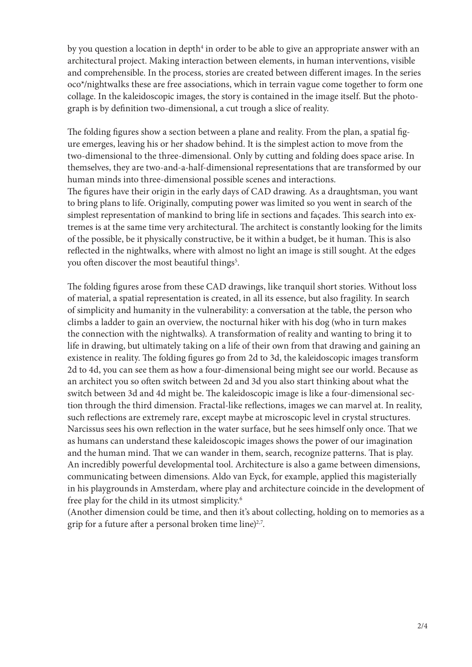by you question a location in depth<sup>4</sup> in order to be able to give an appropriate answer with an architectural project. Making interaction between elements, in human interventions, visible and comprehensible. In the process, stories are created between different images. In the series oco\*/nightwalks these are free associations, which in terrain vague come together to form one collage. In the kaleidoscopic images, the story is contained in the image itself. But the photograph is by definition two-dimensional, a cut trough a slice of reality.

The folding figures show a section between a plane and reality. From the plan, a spatial figure emerges, leaving his or her shadow behind. It is the simplest action to move from the two-dimensional to the three-dimensional. Only by cutting and folding does space arise. In themselves, they are two-and-a-half-dimensional representations that are transformed by our human minds into three-dimensional possible scenes and interactions. The figures have their origin in the early days of CAD drawing. As a draughtsman, you want to bring plans to life. Originally, computing power was limited so you went in search of the simplest representation of mankind to bring life in sections and façades. This search into extremes is at the same time very architectural. The architect is constantly looking for the limits of the possible, be it physically constructive, be it within a budget, be it human. This is also reflected in the nightwalks, where with almost no light an image is still sought. At the edges you often discover the most beautiful things<sup>5</sup>.

The folding figures arose from these CAD drawings, like tranquil short stories. Without loss of material, a spatial representation is created, in all its essence, but also fragility. In search of simplicity and humanity in the vulnerability: a conversation at the table, the person who climbs a ladder to gain an overview, the nocturnal hiker with his dog (who in turn makes the connection with the nightwalks). A transformation of reality and wanting to bring it to life in drawing, but ultimately taking on a life of their own from that drawing and gaining an existence in reality. The folding figures go from 2d to 3d, the kaleidoscopic images transform 2d to 4d, you can see them as how a four-dimensional being might see our world. Because as an architect you so often switch between 2d and 3d you also start thinking about what the switch between 3d and 4d might be. The kaleidoscopic image is like a four-dimensional section through the third dimension. Fractal-like reflections, images we can marvel at. In reality, such reflections are extremely rare, except maybe at microscopic level in crystal structures. Narcissus sees his own reflection in the water surface, but he sees himself only once. That we as humans can understand these kaleidoscopic images shows the power of our imagination and the human mind. That we can wander in them, search, recognize patterns. That is play. An incredibly powerful developmental tool. Architecture is also a game between dimensions, communicating between dimensions. Aldo van Eyck, for example, applied this magisterially in his playgrounds in Amsterdam, where play and architecture coincide in the development of free play for the child in its utmost simplicity.<sup>6</sup>

(Another dimension could be time, and then it's about collecting, holding on to memories as a grip for a future after a personal broken time line) $^{2.7}$ .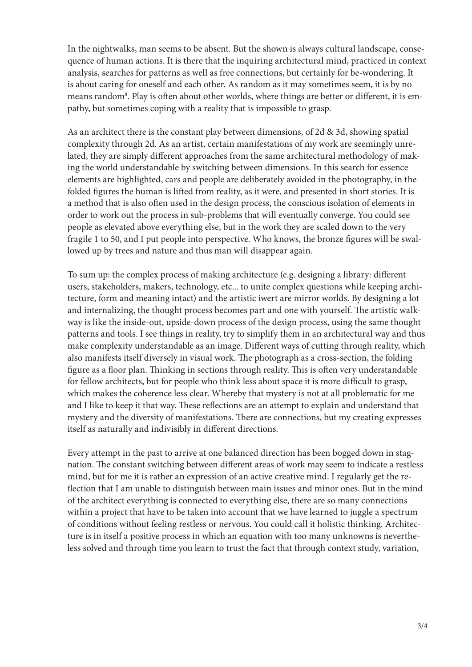In the nightwalks, man seems to be absent. But the shown is always cultural landscape, consequence of human actions. It is there that the inquiring architectural mind, practiced in context analysis, searches for patterns as well as free connections, but certainly for be-wondering. It is about caring for oneself and each other. As random as it may sometimes seem, it is by no means random<sup>8</sup>. Play is often about other worlds, where things are better or different, it is empathy, but sometimes coping with a reality that is impossible to grasp.

As an architect there is the constant play between dimensions, of 2d & 3d, showing spatial complexity through 2d. As an artist, certain manifestations of my work are seemingly unrelated, they are simply different approaches from the same architectural methodology of making the world understandable by switching between dimensions. In this search for essence elements are highlighted, cars and people are deliberately avoided in the photography, in the folded figures the human is lifted from reality, as it were, and presented in short stories. It is a method that is also often used in the design process, the conscious isolation of elements in order to work out the process in sub-problems that will eventually converge. You could see people as elevated above everything else, but in the work they are scaled down to the very fragile 1 to 50, and I put people into perspective. Who knows, the bronze figures will be swallowed up by trees and nature and thus man will disappear again.

To sum up: the complex process of making architecture (e.g. designing a library: different users, stakeholders, makers, technology, etc... to unite complex questions while keeping architecture, form and meaning intact) and the artistic iwert are mirror worlds. By designing a lot and internalizing, the thought process becomes part and one with yourself. The artistic walkway is like the inside-out, upside-down process of the design process, using the same thought patterns and tools. I see things in reality, try to simplify them in an architectural way and thus make complexity understandable as an image. Different ways of cutting through reality, which also manifests itself diversely in visual work. The photograph as a cross-section, the folding figure as a floor plan. Thinking in sections through reality. This is often very understandable for fellow architects, but for people who think less about space it is more difficult to grasp, which makes the coherence less clear. Whereby that mystery is not at all problematic for me and I like to keep it that way. These reflections are an attempt to explain and understand that mystery and the diversity of manifestations. There are connections, but my creating expresses itself as naturally and indivisibly in different directions.

Every attempt in the past to arrive at one balanced direction has been bogged down in stagnation. The constant switching between different areas of work may seem to indicate a restless mind, but for me it is rather an expression of an active creative mind. I regularly get the reflection that I am unable to distinguish between main issues and minor ones. But in the mind of the architect everything is connected to everything else, there are so many connections within a project that have to be taken into account that we have learned to juggle a spectrum of conditions without feeling restless or nervous. You could call it holistic thinking. Architecture is in itself a positive process in which an equation with too many unknowns is nevertheless solved and through time you learn to trust the fact that through context study, variation,